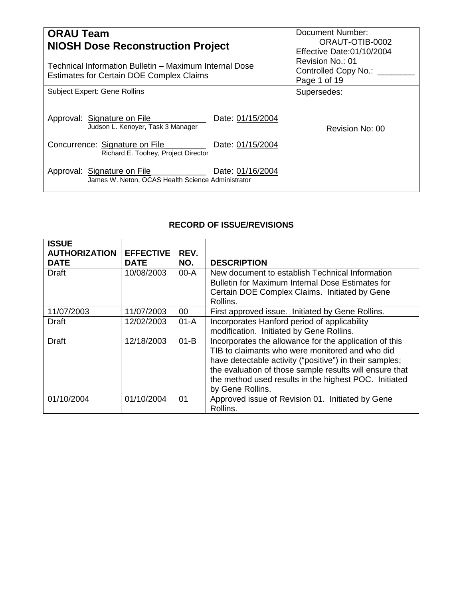| <b>ORAU Team</b><br><b>NIOSH Dose Reconstruction Project</b><br>Technical Information Bulletin - Maximum Internal Dose<br><b>Estimates for Certain DOE Complex Claims</b> | Document Number:<br>ORAUT-OTIB-0002<br>Effective Date:01/10/2004<br>Revision No.: 01<br>Controlled Copy No.: ___<br>Page 1 of 19 |
|---------------------------------------------------------------------------------------------------------------------------------------------------------------------------|----------------------------------------------------------------------------------------------------------------------------------|
| <b>Subject Expert: Gene Rollins</b>                                                                                                                                       | Supersedes:                                                                                                                      |
| Approval: Signature on File<br>Date: 01/15/2004<br>Judson L. Kenoyer, Task 3 Manager                                                                                      | Revision No: 00                                                                                                                  |
| Concurrence: Signature on File<br>Date: 01/15/2004<br>Richard E. Toohey, Project Director                                                                                 |                                                                                                                                  |
| Date: 01/16/2004<br>Approval: Signature on File<br>James W. Neton, OCAS Health Science Administrator                                                                      |                                                                                                                                  |

# **RECORD OF ISSUE/REVISIONS**

| <b>ISSUE</b><br><b>AUTHORIZATION</b><br><b>DATE</b> | <b>EFFECTIVE</b><br><b>DATE</b> | REV.<br>NO. | <b>DESCRIPTION</b>                                                                                                                                                                                                                                                                                           |
|-----------------------------------------------------|---------------------------------|-------------|--------------------------------------------------------------------------------------------------------------------------------------------------------------------------------------------------------------------------------------------------------------------------------------------------------------|
| Draft                                               | 10/08/2003                      | $00-A$      | New document to establish Technical Information<br>Bulletin for Maximum Internal Dose Estimates for<br>Certain DOE Complex Claims. Initiated by Gene<br>Rollins.                                                                                                                                             |
| 11/07/2003                                          | 11/07/2003                      | 00          | First approved issue. Initiated by Gene Rollins.                                                                                                                                                                                                                                                             |
| Draft                                               | 12/02/2003                      | $01-A$      | Incorporates Hanford period of applicability<br>modification. Initiated by Gene Rollins.                                                                                                                                                                                                                     |
| Draft                                               | 12/18/2003                      | $01-B$      | Incorporates the allowance for the application of this<br>TIB to claimants who were monitored and who did<br>have detectable activity ("positive") in their samples;<br>the evaluation of those sample results will ensure that<br>the method used results in the highest POC. Initiated<br>by Gene Rollins. |
| 01/10/2004                                          | 01/10/2004                      | 01          | Approved issue of Revision 01. Initiated by Gene<br>Rollins.                                                                                                                                                                                                                                                 |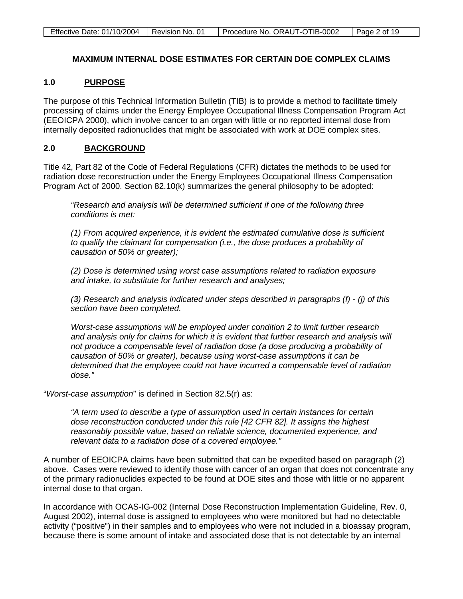# **MAXIMUM INTERNAL DOSE ESTIMATES FOR CERTAIN DOE COMPLEX CLAIMS**

#### **1.0 PURPOSE**

The purpose of this Technical Information Bulletin (TIB) is to provide a method to facilitate timely processing of claims under the Energy Employee Occupational Illness Compensation Program Act (EEOICPA 2000), which involve cancer to an organ with little or no reported internal dose from internally deposited radionuclides that might be associated with work at DOE complex sites.

#### **2.0 BACKGROUND**

Title 42, Part 82 of the Code of Federal Regulations (CFR) dictates the methods to be used for radiation dose reconstruction under the Energy Employees Occupational Illness Compensation Program Act of 2000. Section 82.10(k) summarizes the general philosophy to be adopted:

*"Research and analysis will be determined sufficient if one of the following three conditions is met:*

*(1) From acquired experience, it is evident the estimated cumulative dose is sufficient to qualify the claimant for compensation (i.e., the dose produces a probability of causation of 50% or greater);*

*(2) Dose is determined using worst case assumptions related to radiation exposure and intake, to substitute for further research and analyses;*

*(3) Research and analysis indicated under steps described in paragraphs (f) - (j) of this section have been completed.*

*Worst-case assumptions will be employed under condition 2 to limit further research and analysis only for claims for which it is evident that further research and analysis will not produce a compensable level of radiation dose (a dose producing a probability of causation of 50% or greater), because using worst-case assumptions it can be determined that the employee could not have incurred a compensable level of radiation dose."*

"*Worst-case assumption*" is defined in Section 82.5(r) as:

*"A term used to describe a type of assumption used in certain instances for certain dose reconstruction conducted under this rule [42 CFR 82]. It assigns the highest reasonably possible value, based on reliable science, documented experience, and relevant data to a radiation dose of a covered employee."*

A number of EEOICPA claims have been submitted that can be expedited based on paragraph (2) above. Cases were reviewed to identify those with cancer of an organ that does not concentrate any of the primary radionuclides expected to be found at DOE sites and those with little or no apparent internal dose to that organ.

In accordance with OCAS-IG-002 (Internal Dose Reconstruction Implementation Guideline, Rev. 0, August 2002), internal dose is assigned to employees who were monitored but had no detectable activity ("positive") in their samples and to employees who were not included in a bioassay program, because there is some amount of intake and associated dose that is not detectable by an internal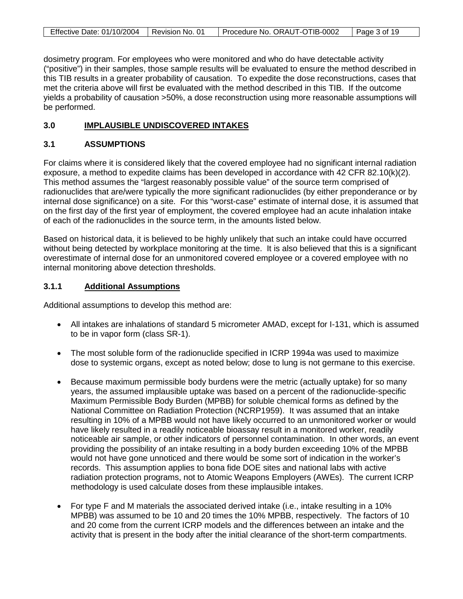| Effective Date: 01/10/2004   Revision No. 01 | Procedure No. ORAUT-OTIB-0002 | $\vert$ Page 3 of 19 |
|----------------------------------------------|-------------------------------|----------------------|

dosimetry program. For employees who were monitored and who do have detectable activity ("positive") in their samples, those sample results will be evaluated to ensure the method described in this TIB results in a greater probability of causation. To expedite the dose reconstructions, cases that met the criteria above will first be evaluated with the method described in this TIB. If the outcome yields a probability of causation >50%, a dose reconstruction using more reasonable assumptions will be performed.

#### **3.0 IMPLAUSIBLE UNDISCOVERED INTAKES**

## **3.1 ASSUMPTIONS**

For claims where it is considered likely that the covered employee had no significant internal radiation exposure, a method to expedite claims has been developed in accordance with 42 CFR 82.10(k)(2). This method assumes the "largest reasonably possible value" of the source term comprised of radionuclides that are/were typically the more significant radionuclides (by either preponderance or by internal dose significance) on a site. For this "worst-case" estimate of internal dose, it is assumed that on the first day of the first year of employment, the covered employee had an acute inhalation intake of each of the radionuclides in the source term, in the amounts listed below.

Based on historical data, it is believed to be highly unlikely that such an intake could have occurred without being detected by workplace monitoring at the time. It is also believed that this is a significant overestimate of internal dose for an unmonitored covered employee or a covered employee with no internal monitoring above detection thresholds.

#### **3.1.1 Additional Assumptions**

Additional assumptions to develop this method are:

- All intakes are inhalations of standard 5 micrometer AMAD, except for I-131, which is assumed to be in vapor form (class SR-1).
- The most soluble form of the radionuclide specified in ICRP 1994a was used to maximize dose to systemic organs, except as noted below; dose to lung is not germane to this exercise.
- Because maximum permissible body burdens were the metric (actually uptake) for so many years, the assumed implausible uptake was based on a percent of the radionuclide-specific Maximum Permissible Body Burden (MPBB) for soluble chemical forms as defined by the National Committee on Radiation Protection (NCRP1959). It was assumed that an intake resulting in 10% of a MPBB would not have likely occurred to an unmonitored worker or would have likely resulted in a readily noticeable bioassay result in a monitored worker, readily noticeable air sample, or other indicators of personnel contamination. In other words, an event providing the possibility of an intake resulting in a body burden exceeding 10% of the MPBB would not have gone unnoticed and there would be some sort of indication in the worker's records. This assumption applies to bona fide DOE sites and national labs with active radiation protection programs, not to Atomic Weapons Employers (AWEs). The current ICRP methodology is used calculate doses from these implausible intakes.
- For type F and M materials the associated derived intake (i.e., intake resulting in a 10% MPBB) was assumed to be 10 and 20 times the 10% MPBB, respectively. The factors of 10 and 20 come from the current ICRP models and the differences between an intake and the activity that is present in the body after the initial clearance of the short-term compartments.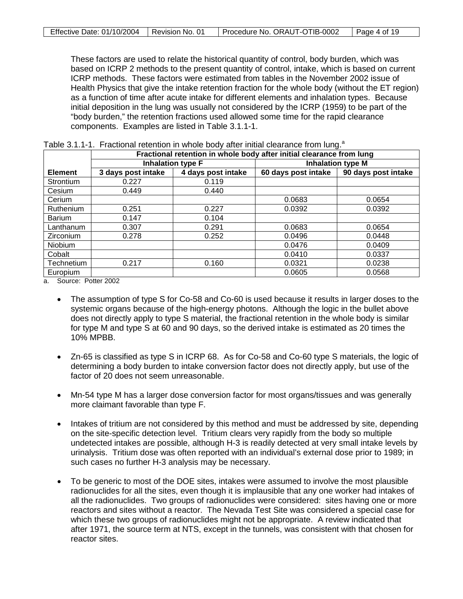| Effective Date: 01/10/2004   Revision No. 01 | Procedure No. ORAUT-OTIB-0002 | Page 4 of 19 |
|----------------------------------------------|-------------------------------|--------------|

These factors are used to relate the historical quantity of control, body burden, which was based on ICRP 2 methods to the present quantity of control, intake, which is based on current ICRP methods. These factors were estimated from tables in the November 2002 issue of Health Physics that give the intake retention fraction for the whole body (without the ET region) as a function of time after acute intake for different elements and inhalation types. Because initial deposition in the lung was usually not considered by the ICRP (1959) to be part of the "body burden," the retention fractions used allowed some time for the rapid clearance components. Examples are listed in Table 3.1.1-1.

|                | Fractional retention in whole body after initial clearance from lung |                          |                          |                     |  |  |
|----------------|----------------------------------------------------------------------|--------------------------|--------------------------|---------------------|--|--|
|                |                                                                      | <b>Inhalation type F</b> | <b>Inhalation type M</b> |                     |  |  |
| <b>Element</b> | 3 days post intake                                                   | 4 days post intake       | 60 days post intake      | 90 days post intake |  |  |
| Strontium      | 0.227                                                                | 0.119                    |                          |                     |  |  |
| Cesium         | 0.449                                                                | 0.440                    |                          |                     |  |  |
| Cerium         |                                                                      |                          | 0.0683                   | 0.0654              |  |  |
| Ruthenium      | 0.251                                                                | 0.227                    | 0.0392                   | 0.0392              |  |  |
| Barium         | 0.147                                                                | 0.104                    |                          |                     |  |  |
| Lanthanum      | 0.307                                                                | 0.291                    | 0.0683                   | 0.0654              |  |  |
| Zirconium      | 0.278                                                                | 0.252                    | 0.0496                   | 0.0448              |  |  |
| Niobium        |                                                                      |                          | 0.0476                   | 0.0409              |  |  |
| Cobalt         |                                                                      |                          | 0.0410                   | 0.0337              |  |  |
| Technetium     | 0.217                                                                | 0.160                    | 0.0321                   | 0.0238              |  |  |
| Europium       |                                                                      |                          | 0.0605                   | 0.0568              |  |  |

Table 3.1.1-1. Fractional retention in whole body after initial clearance from lung.<sup>a</sup>

a. Source: Potter 2002

- The assumption of type S for Co-58 and Co-60 is used because it results in larger doses to the systemic organs because of the high-energy photons. Although the logic in the bullet above does not directly apply to type S material, the fractional retention in the whole body is similar for type M and type S at 60 and 90 days, so the derived intake is estimated as 20 times the 10% MPBB.
- Zn-65 is classified as type S in ICRP 68. As for Co-58 and Co-60 type S materials, the logic of determining a body burden to intake conversion factor does not directly apply, but use of the factor of 20 does not seem unreasonable.
- Mn-54 type M has a larger dose conversion factor for most organs/tissues and was generally more claimant favorable than type F.
- Intakes of tritium are not considered by this method and must be addressed by site, depending on the site-specific detection level. Tritium clears very rapidly from the body so multiple undetected intakes are possible, although H-3 is readily detected at very small intake levels by urinalysis. Tritium dose was often reported with an individual's external dose prior to 1989; in such cases no further H-3 analysis may be necessary.
- To be generic to most of the DOE sites, intakes were assumed to involve the most plausible radionuclides for all the sites, even though it is implausible that any one worker had intakes of all the radionuclides. Two groups of radionuclides were considered: sites having one or more reactors and sites without a reactor. The Nevada Test Site was considered a special case for which these two groups of radionuclides might not be appropriate. A review indicated that after 1971, the source term at NTS, except in the tunnels, was consistent with that chosen for reactor sites.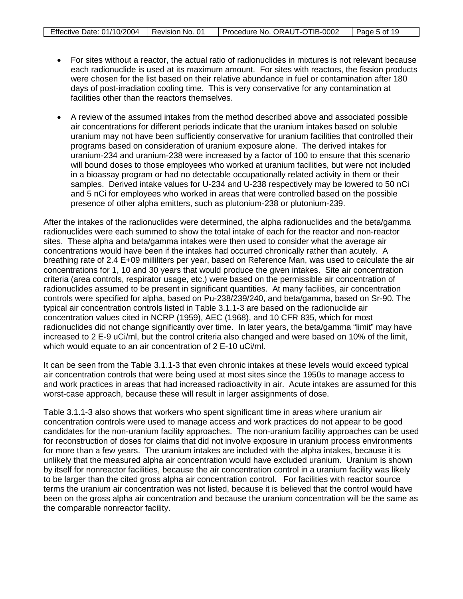- For sites without a reactor, the actual ratio of radionuclides in mixtures is not relevant because each radionuclide is used at its maximum amount. For sites with reactors, the fission products were chosen for the list based on their relative abundance in fuel or contamination after 180 days of post-irradiation cooling time. This is very conservative for any contamination at facilities other than the reactors themselves.
- A review of the assumed intakes from the method described above and associated possible air concentrations for different periods indicate that the uranium intakes based on soluble uranium may not have been sufficiently conservative for uranium facilities that controlled their programs based on consideration of uranium exposure alone. The derived intakes for uranium-234 and uranium-238 were increased by a factor of 100 to ensure that this scenario will bound doses to those employees who worked at uranium facilities, but were not included in a bioassay program or had no detectable occupationally related activity in them or their samples. Derived intake values for U-234 and U-238 respectively may be lowered to 50 nCi and 5 nCi for employees who worked in areas that were controlled based on the possible presence of other alpha emitters, such as plutonium-238 or plutonium-239.

After the intakes of the radionuclides were determined, the alpha radionuclides and the beta/gamma radionuclides were each summed to show the total intake of each for the reactor and non-reactor sites. These alpha and beta/gamma intakes were then used to consider what the average air concentrations would have been if the intakes had occurred chronically rather than acutely. A breathing rate of 2.4 E+09 milliliters per year, based on Reference Man, was used to calculate the air concentrations for 1, 10 and 30 years that would produce the given intakes. Site air concentration criteria (area controls, respirator usage, etc.) were based on the permissible air concentration of radionuclides assumed to be present in significant quantities. At many facilities, air concentration controls were specified for alpha, based on Pu-238/239/240, and beta/gamma, based on Sr-90. The typical air concentration controls listed in Table 3.1.1-3 are based on the radionuclide air concentration values cited in NCRP (1959), AEC (1968), and 10 CFR 835, which for most radionuclides did not change significantly over time. In later years, the beta/gamma "limit" may have increased to 2 E-9 uCi/ml, but the control criteria also changed and were based on 10% of the limit, which would equate to an air concentration of 2 E-10 uCi/ml.

It can be seen from the Table 3.1.1-3 that even chronic intakes at these levels would exceed typical air concentration controls that were being used at most sites since the 1950s to manage access to and work practices in areas that had increased radioactivity in air. Acute intakes are assumed for this worst-case approach, because these will result in larger assignments of dose.

Table 3.1.1-3 also shows that workers who spent significant time in areas where uranium air concentration controls were used to manage access and work practices do not appear to be good candidates for the non-uranium facility approaches. The non-uranium facility approaches can be used for reconstruction of doses for claims that did not involve exposure in uranium process environments for more than a few years. The uranium intakes are included with the alpha intakes, because it is unlikely that the measured alpha air concentration would have excluded uranium. Uranium is shown by itself for nonreactor facilities, because the air concentration control in a uranium facility was likely to be larger than the cited gross alpha air concentration control. For facilities with reactor source terms the uranium air concentration was not listed, because it is believed that the control would have been on the gross alpha air concentration and because the uranium concentration will be the same as the comparable nonreactor facility.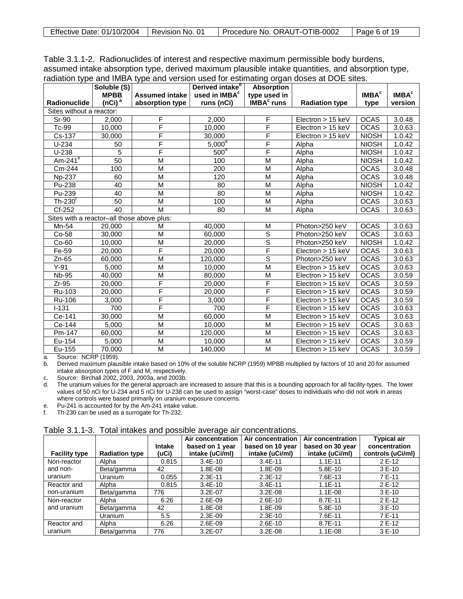| Effective Date: 01/10/2004   Revision No. 01 |  | Procedure No. ORAUT-OTIB-0002 | Page 6 of 19 |
|----------------------------------------------|--|-------------------------------|--------------|
|----------------------------------------------|--|-------------------------------|--------------|

Table 3.1.1-2. Radionuclides of interest and respective maximum permissible body burdens, assumed intake absorption type, derived maximum plausible intake quantities, and absorption type, radiation type and IMBA type and version used for estimating organ doses at DOE sites.

|                                            | Soluble (S)        |                       | Derived intake <sup>b</sup> | <b>Absorption</b>            |                       |                         |                   |
|--------------------------------------------|--------------------|-----------------------|-----------------------------|------------------------------|-----------------------|-------------------------|-------------------|
|                                            | <b>MPBB</b>        | <b>Assumed intake</b> | used in IMBA <sup>c</sup>   | type used in                 |                       | <b>IMBA<sup>c</sup></b> | IMBA <sup>c</sup> |
| Radionuclide                               | (nCi) <sup>a</sup> | absorption type       | runs (nCi)                  | <b>IMBA<sup>c</sup></b> runs | <b>Radiation type</b> | type                    | version           |
| Sites without a reactor:                   |                    |                       |                             |                              |                       |                         |                   |
| <b>Sr-90</b>                               | 2.000              | F                     | 2.000                       | F                            | Electron > 15 keV     | <b>OCAS</b>             | 3.0.48            |
| Tc-99                                      | 10.000             | F                     | 10,000                      | F                            | Electron $> 15$ keV   | <b>OCAS</b>             | 3.0.63            |
| Cs-137                                     | 30,000             | F                     | 30,000                      | F                            | Electron $> 15$ keV   | <b>NIOSH</b>            | 1.0.42            |
| $U-234$                                    | 50                 | F                     | $5,000^{\circ}$             | F                            | Alpha                 | <b>NIOSH</b>            | 1.0.42            |
| $U-238$                                    | 5                  | F                     | 500 <sup>o</sup>            | F                            | Alpha                 | <b>NIOSH</b>            | 1.0.42            |
| $Am-241e$                                  | 50                 | M                     | 100                         | M                            | Alpha                 | <b>NIOSH</b>            | 1.0.42            |
| Cm-244                                     | 100                | M                     | 200                         | M                            | Alpha                 | <b>OCAS</b>             | 3.0.48            |
| Np-237                                     | 60                 | M                     | 120                         | M                            | Alpha                 | <b>OCAS</b>             | 3.0.48            |
| Pu-238                                     | 40                 | M                     | 80                          | M                            | Alpha                 | <b>NIOSH</b>            | 1.0.42            |
| Pu-239                                     | 40                 | M                     | 80                          | M                            | Alpha                 | <b>NIOSH</b>            | 1.0.42            |
| $Th-230$ <sup>r</sup>                      | 50                 | M                     | 100                         | M                            | Alpha                 | <b>OCAS</b>             | 3.0.63            |
| Cf-252                                     | 40                 | M                     | 80                          | M                            | Alpha                 | <b>OCAS</b>             | 3.0.63            |
| Sites with a reactor-all those above plus: |                    |                       |                             |                              |                       |                         |                   |
| Mn-54                                      | 20,000             | М                     | 40,000                      | M                            | Photon>250 keV        | <b>OCAS</b>             | 3.0.63            |
| Co-58                                      | 30,000             | M                     | 60,000                      | S                            | Photon>250 keV        | <b>OCAS</b>             | 3.0.63            |
| $Co-60$                                    | 10,000             | M                     | 20.000                      | $\overline{\mathsf{s}}$      | Photon>250 keV        | <b>NIOSH</b>            | 1.0.42            |
| Fe-59                                      | 20.000             | F                     | 20,000                      | F                            | Electron > 15 keV     | <b>OCAS</b>             | 3.0.63            |
| $Zn-65$                                    | 60.000             | M                     | 120,000                     | $\overline{s}$               | Photon>250 keV        | <b>OCAS</b>             | 3.0.63            |
| $Y-91$                                     | 5,000              | M                     | 10.000                      | M                            | Electron $> 15$ keV   | <b>OCAS</b>             | 3.0.63            |
| <b>Nb-95</b>                               | 40,000             | M                     | 80,000                      | M                            | Electron $> 15$ keV   | <b>OCAS</b>             | 3.0.59            |
| $Zr-95$                                    | 20,000             | F                     | 20,000                      | F                            | Electron > 15 keV     | <b>OCAS</b>             | 3.0.59            |
| Ru-103                                     | 20,000             | F                     | 20,000                      | F                            | Electron > 15 keV     | <b>OCAS</b>             | 3.0.59            |
| Ru-106                                     | 3,000              | F                     | 3,000                       | F                            | Electron $> 15$ keV   | <b>OCAS</b>             | 3.0.59            |
| $I - 131$                                  | 700                | F                     | 700                         | F                            | Electron > 15 keV     | <b>OCAS</b>             | 3.0.63            |
| Ce-141                                     | 30,000             | $\overline{M}$        | 60,000                      | $\overline{\mathsf{M}}$      | Electron $> 15$ keV   | <b>OCAS</b>             | 3.0.63            |
| Ce-144                                     | 5,000              | M                     | 10.000                      | M                            | Electron > 15 keV     | <b>OCAS</b>             | 3.0.63            |
| Pm-147                                     | 60,000             | M                     | 120,000                     | M                            | Electron $> 15$ keV   | <b>OCAS</b>             | 3.0.63            |
| Eu-154                                     | 5,000              | $\overline{M}$        | 10,000                      | $\overline{M}$               | $Electron > 15$ keV   | <b>OCAS</b>             | 3.0.59            |
| Eu-155                                     | 70.000             | M                     | 140.000                     | M                            | Electron $> 15$ keV   | <b>OCAS</b>             | 3.0.59            |

a. Source: NCRP (1959).

b. Derived maximum plausible intake based on 10% of the soluble NCRP (1959) MPBB multiplied by factors of 10 and 20 for assumed intake absorption types of F and M, respectively.

c. Source: Birchall 2002, 2003, 2003a, and 2003b.

d. The uranium values for the general approach are increased to assure that this is a bounding approach for all facility-types. The lower values of 50 nCi for U-234 and 5 nCi for U-238 can be used to assign "worst-case" doses to individuals who did not work in areas where controls were based primarily on uranium exposure concerns.

e. Pu-241 is accounted for by the Am-241 intake value.

f. Th-230 can be used as a surrogate for Th-232.

|                      |                       | <b>Intake</b> | Air concentration<br>based on 1 year | Air concentration<br>based on 10 year | Air concentration<br>based on 30 year | <b>Typical air</b><br>concentration |
|----------------------|-----------------------|---------------|--------------------------------------|---------------------------------------|---------------------------------------|-------------------------------------|
| <b>Facility type</b> | <b>Radiation type</b> | (uCi)         | intake (uCi/ml)                      | intake (uCi/ml)                       | intake (uCi/ml)                       | controls (uCi/ml)                   |
| Non-reactor          | Alpha                 | 0.815         | $3.4E-10$                            | $3.4E - 11$                           | $1.1E - 11$                           | 2 E-12                              |
| and non-             | Beta/gamma            | 42            | 1.8E-08                              | 1.8E-09                               | 5.8E-10                               | 3 E-10                              |
| uranium              | Uranium               | 0.055         | $2.3E-11$                            | $2.3E-12$                             | 7.6E-13                               | 7 E-11                              |
| Reactor and          | Alpha                 | 0.815         | $3.4E - 10$                          | $3.4E - 11$                           | $1.1E-11$                             | 2 E-12                              |
| non-uranium          | Beta/gamma            | 776           | $3.2E-07$                            | $3.2E-08$                             | $1.1E-08$                             | $3E-10$                             |
| Non-reactor          | Alpha                 | 6.26          | 2.6E-09                              | $2.6E-10$                             | 8.7E-11                               | 2 E-12                              |
| and uranium          | Beta/gamma            | 42            | 1.8E-08                              | 1.8E-09                               | 5.8E-10                               | $3E-10$                             |
|                      | Uranium               | 5.5           | 2.3E-09                              | $2.3E-10$                             | 7.6E-11                               | 7 E-11                              |
| Reactor and          | Alpha                 | 6.26          | 2.6E-09                              | $2.6E-10$                             | 8.7E-11                               | 2 E-12                              |
| uranium              | Beta/gamma            | 776           | $3.2E-07$                            | $3.2E-08$                             | $1.1E-08$                             | $3E-10$                             |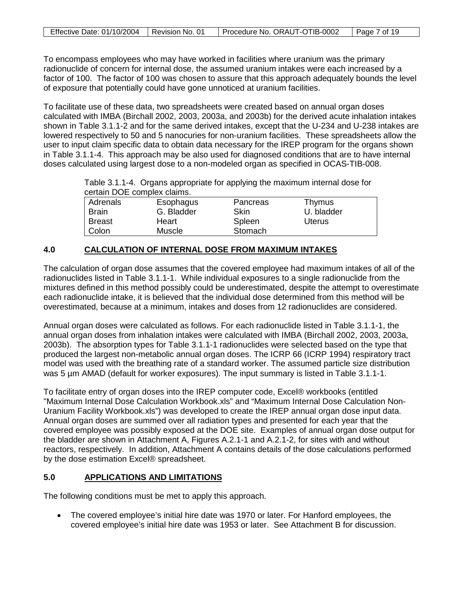| Effective Date: 01/10/2004   Revision No. 01 | Procedure No. ORAUT-OTIB-0002 | Page 7 of 19 |
|----------------------------------------------|-------------------------------|--------------|

To encompass employees who may have worked in facilities where uranium was the primary radionuclide of concern for internal dose, the assumed uranium intakes were each increased by a factor of 100. The factor of 100 was chosen to assure that this approach adequately bounds the level of exposure that potentially could have gone unnoticed at uranium facilities.

To facilitate use of these data, two spreadsheets were created based on annual organ doses calculated with IMBA (Birchall 2002, 2003, 2003a, and 2003b) for the derived acute inhalation intakes shown in Table 3.1.1-2 and for the same derived intakes, except that the U-234 and U-238 intakes are lowered respectively to 50 and 5 nanocuries for non-uranium facilities. These spreadsheets allow the user to input claim specific data to obtain data necessary for the IREP program for the organs shown in Table 3.1.1-4. This approach may be also used for diagnosed conditions that are to have internal doses calculated using largest dose to a non-modeled organ as specified in OCAS-TIB-008.

Table 3.1.1-4. Organs appropriate for applying the maximum internal dose for certain DOE complex claims.

|               | 0.1        |          |            |  |  |  |
|---------------|------------|----------|------------|--|--|--|
| Adrenals      | Esophagus  | Pancreas | Thymus     |  |  |  |
| <b>Brain</b>  | G. Bladder | Skin     | U. bladder |  |  |  |
| <b>Breast</b> | Heart      | Spleen   | Uterus     |  |  |  |
| Colon         | Muscle     | Stomach  |            |  |  |  |

### **4.0 CALCULATION OF INTERNAL DOSE FROM MAXIMUM INTAKES**

The calculation of organ dose assumes that the covered employee had maximum intakes of all of the radionuclides listed in Table 3.1.1-1. While individual exposures to a single radionuclide from the mixtures defined in this method possibly could be underestimated, despite the attempt to overestimate each radionuclide intake, it is believed that the individual dose determined from this method will be overestimated, because at a minimum, intakes and doses from 12 radionuclides are considered.

Annual organ doses were calculated as follows. For each radionuclide listed in Table 3.1.1-1, the annual organ doses from inhalation intakes were calculated with IMBA (Birchall 2002, 2003, 2003a, 2003b). The absorption types for Table 3.1.1-1 radionuclides were selected based on the type that produced the largest non-metabolic annual organ doses. The ICRP 66 (ICRP 1994) respiratory tract model was used with the breathing rate of a standard worker. The assumed particle size distribution was 5 µm AMAD (default for worker exposures). The input summary is listed in Table 3.1.1-1.

To facilitate entry of organ doses into the IREP computer code, Excel® workbooks (entitled "Maximum Internal Dose Calculation Workbook.xls" and "Maximum Internal Dose Calculation Non-Uranium Facility Workbook.xls") was developed to create the IREP annual organ dose input data. Annual organ doses are summed over all radiation types and presented for each year that the covered employee was possibly exposed at the DOE site. Examples of annual organ dose output for the bladder are shown in Attachment A, Figures A.2.1-1 and A.2.1-2, for sites with and without reactors, respectively. In addition, Attachment A contains details of the dose calculations performed by the dose estimation Excel® spreadsheet.

#### **5.0 APPLICATIONS AND LIMITATIONS**

The following conditions must be met to apply this approach.

• The covered employee's initial hire date was 1970 or later. For Hanford employees, the covered employee's initial hire date was 1953 or later. See Attachment B for discussion.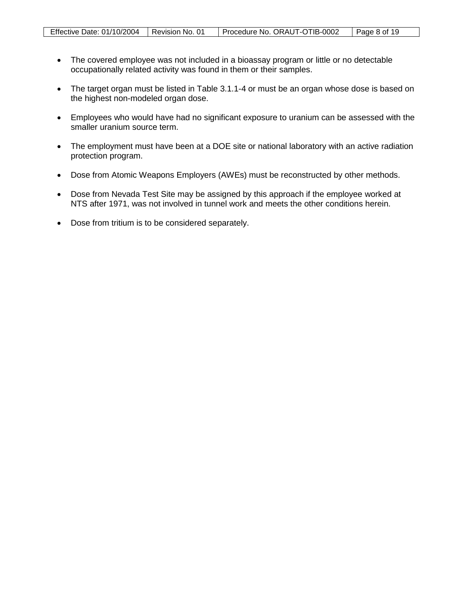- The covered employee was not included in a bioassay program or little or no detectable occupationally related activity was found in them or their samples.
- The target organ must be listed in Table 3.1.1-4 or must be an organ whose dose is based on the highest non-modeled organ dose.
- Employees who would have had no significant exposure to uranium can be assessed with the smaller uranium source term.
- The employment must have been at a DOE site or national laboratory with an active radiation protection program.
- Dose from Atomic Weapons Employers (AWEs) must be reconstructed by other methods.
- Dose from Nevada Test Site may be assigned by this approach if the employee worked at NTS after 1971, was not involved in tunnel work and meets the other conditions herein.
- Dose from tritium is to be considered separately.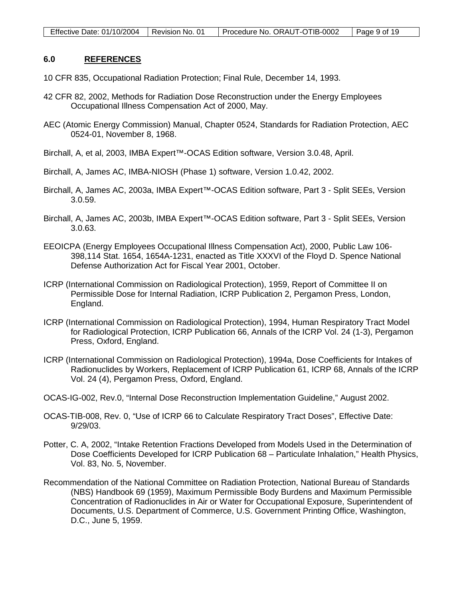#### **6.0 REFERENCES**

- 10 CFR 835, Occupational Radiation Protection; Final Rule, December 14, 1993.
- 42 CFR 82, 2002, Methods for Radiation Dose Reconstruction under the Energy Employees Occupational Illness Compensation Act of 2000, May.
- AEC (Atomic Energy Commission) Manual, Chapter 0524, Standards for Radiation Protection, AEC 0524-01, November 8, 1968.
- Birchall, A, et al, 2003, IMBA Expert™-OCAS Edition software, Version 3.0.48, April.
- Birchall, A, James AC, IMBA-NIOSH (Phase 1) software, Version 1.0.42, 2002.
- Birchall, A, James AC, 2003a, IMBA Expert™-OCAS Edition software, Part 3 Split SEEs, Version 3.0.59.
- Birchall, A, James AC, 2003b, IMBA Expert™-OCAS Edition software, Part 3 Split SEEs, Version 3.0.63.
- EEOICPA (Energy Employees Occupational Illness Compensation Act), 2000, Public Law 106- 398,114 Stat. 1654, 1654A-1231, enacted as Title XXXVI of the Floyd D. Spence National Defense Authorization Act for Fiscal Year 2001, October.
- ICRP (International Commission on Radiological Protection), 1959, Report of Committee II on Permissible Dose for Internal Radiation, ICRP Publication 2, Pergamon Press, London, England.
- ICRP (International Commission on Radiological Protection), 1994, Human Respiratory Tract Model for Radiological Protection, ICRP Publication 66, Annals of the ICRP Vol. 24 (1-3), Pergamon Press, Oxford, England.
- ICRP (International Commission on Radiological Protection), 1994a, Dose Coefficients for Intakes of Radionuclides by Workers, Replacement of ICRP Publication 61, ICRP 68, Annals of the ICRP Vol. 24 (4), Pergamon Press, Oxford, England.
- OCAS-IG-002, Rev.0, "Internal Dose Reconstruction Implementation Guideline," August 2002.
- OCAS-TIB-008, Rev. 0, "Use of ICRP 66 to Calculate Respiratory Tract Doses", Effective Date: 9/29/03.
- Potter, C. A, 2002, "Intake Retention Fractions Developed from Models Used in the Determination of Dose Coefficients Developed for ICRP Publication 68 – Particulate Inhalation," Health Physics, Vol. 83, No. 5, November.
- Recommendation of the National Committee on Radiation Protection, National Bureau of Standards (NBS) Handbook 69 (1959), Maximum Permissible Body Burdens and Maximum Permissible Concentration of Radionuclides in Air or Water for Occupational Exposure, Superintendent of Documents, U.S. Department of Commerce, U.S. Government Printing Office, Washington, D.C., June 5, 1959.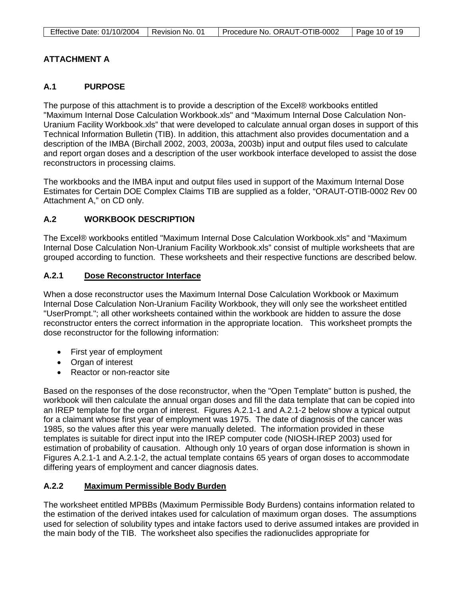| Effective Date: 01/10/2004   Revision No. 01 | Procedure No. ORAUT-OTIB-0002 | Page 10 of 19 |
|----------------------------------------------|-------------------------------|---------------|

# **ATTACHMENT A**

## **A.1 PURPOSE**

The purpose of this attachment is to provide a description of the Excel® workbooks entitled "Maximum Internal Dose Calculation Workbook.xls" and "Maximum Internal Dose Calculation Non-Uranium Facility Workbook.xls" that were developed to calculate annual organ doses in support of this Technical Information Bulletin (TIB). In addition, this attachment also provides documentation and a description of the IMBA (Birchall 2002, 2003, 2003a, 2003b) input and output files used to calculate and report organ doses and a description of the user workbook interface developed to assist the dose reconstructors in processing claims.

The workbooks and the IMBA input and output files used in support of the Maximum Internal Dose Estimates for Certain DOE Complex Claims TIB are supplied as a folder, "ORAUT-OTIB-0002 Rev 00 Attachment A," on CD only.

### **A.2 WORKBOOK DESCRIPTION**

The Excel® workbooks entitled "Maximum Internal Dose Calculation Workbook.xls" and "Maximum Internal Dose Calculation Non-Uranium Facility Workbook.xls" consist of multiple worksheets that are grouped according to function. These worksheets and their respective functions are described below.

#### **A.2.1 Dose Reconstructor Interface**

When a dose reconstructor uses the Maximum Internal Dose Calculation Workbook or Maximum Internal Dose Calculation Non-Uranium Facility Workbook, they will only see the worksheet entitled "UserPrompt."; all other worksheets contained within the workbook are hidden to assure the dose reconstructor enters the correct information in the appropriate location. This worksheet prompts the dose reconstructor for the following information:

- First year of employment
- Organ of interest
- Reactor or non-reactor site

Based on the responses of the dose reconstructor, when the "Open Template" button is pushed, the workbook will then calculate the annual organ doses and fill the data template that can be copied into an IREP template for the organ of interest. Figures A.2.1-1 and A.2.1-2 below show a typical output for a claimant whose first year of employment was 1975. The date of diagnosis of the cancer was 1985, so the values after this year were manually deleted. The information provided in these templates is suitable for direct input into the IREP computer code (NIOSH-IREP 2003) used for estimation of probability of causation. Although only 10 years of organ dose information is shown in Figures A.2.1-1 and A.2.1-2, the actual template contains 65 years of organ doses to accommodate differing years of employment and cancer diagnosis dates.

#### **A.2.2 Maximum Permissible Body Burden**

The worksheet entitled MPBBs (Maximum Permissible Body Burdens) contains information related to the estimation of the derived intakes used for calculation of maximum organ doses. The assumptions used for selection of solubility types and intake factors used to derive assumed intakes are provided in the main body of the TIB. The worksheet also specifies the radionuclides appropriate for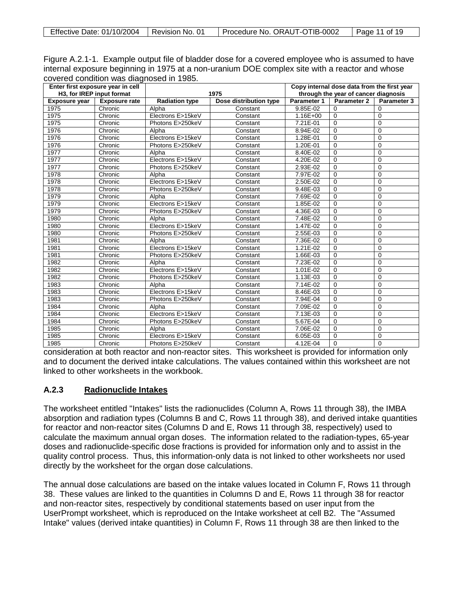| Effective Date: 01/10/2004 | Revision No. 01 | Procedure No. ORAUT-OTIB-0002 | Page 11 of 19 |
|----------------------------|-----------------|-------------------------------|---------------|
|----------------------------|-----------------|-------------------------------|---------------|

| Figure A.2.1-1. Example output file of bladder dose for a covered employee who is assumed to have |
|---------------------------------------------------------------------------------------------------|
| internal exposure beginning in 1975 at a non-uranium DOE complex site with a reactor and whose    |
| covered condition was diagnosed in 1985.                                                          |

| Enter first exposure year in cell |                      |                       |                        | Copy internal dose data from the first year |                |                    |
|-----------------------------------|----------------------|-----------------------|------------------------|---------------------------------------------|----------------|--------------------|
| H3, for IREP input format         |                      | 1975                  |                        | through the year of cancer diagnosis        |                |                    |
| <b>Exposure year</b>              | <b>Exposure rate</b> | <b>Radiation type</b> | Dose distribution type | Parameter 1                                 | Parameter 2    | <b>Parameter 3</b> |
| 1975                              | Chronic              | Alpha                 | Constant               | 9.85E-02                                    | 0              | $\Omega$           |
| 1975                              | Chronic              | Electrons E>15keV     | Constant               | $1.16E + 00$                                | 0              | $\mathbf 0$        |
| 1975                              | Chronic              | Photons E>250keV      | Constant               | 7.21E-01                                    | $\Omega$       | $\Omega$           |
| 1976                              | Chronic              | Alpha                 | Constant               | 8.94E-02                                    | $\mathbf 0$    | 0                  |
| 1976                              | Chronic              | Electrons E>15keV     | Constant               | 1.28E-01                                    | $\Omega$       | $\Omega$           |
| 1976                              | Chronic              | Photons E>250keV      | Constant               | 1.20E-01                                    | $\mathbf 0$    | $\Omega$           |
| 1977                              | Chronic              | Alpha                 | Constant               | 8.40E-02                                    | $\mathbf 0$    | $\Omega$           |
| 1977                              | Chronic              | Electrons E>15keV     | Constant               | 4.20E-02                                    | $\mathbf 0$    | $\Omega$           |
| 1977                              | Chronic              | Photons E>250keV      | Constant               | 2.93E-02                                    | $\mathbf 0$    | $\Omega$           |
| 1978                              | Chronic              | Alpha                 | Constant               | 7.97E-02                                    | $\overline{0}$ | $\Omega$           |
| 1978                              | Chronic              | Electrons E>15keV     | Constant               | 2.50E-02                                    | $\mathbf 0$    | $\mathbf 0$        |
| 1978                              | Chronic              | Photons E>250keV      | Constant               | 9.48E-03                                    | $\mathbf 0$    | $\Omega$           |
| 1979                              | Chronic              | Alpha                 | Constant               | 7.69E-02                                    | $\mathbf 0$    | $\mathbf 0$        |
| 1979                              | Chronic              | Electrons E>15keV     | Constant               | 1.85E-02                                    | $\mathbf 0$    | $\Omega$           |
| 1979                              | Chronic              | Photons E>250keV      | Constant               | 4.36E-03                                    | $\mathbf 0$    | $\Omega$           |
| 1980                              | Chronic              | Alpha                 | Constant               | 7.48E-02                                    | $\Omega$       | $\Omega$           |
| 1980                              | Chronic              | Electrons E>15keV     | Constant               | 1.47E-02                                    | $\mathbf 0$    | $\Omega$           |
| 1980                              | Chronic              | Photons E>250keV      | Constant               | 2.55E-03                                    | $\mathbf 0$    | $\mathbf 0$        |
| 1981                              | Chronic              | Alpha                 | Constant               | 7.36E-02                                    | $\mathbf 0$    | $\Omega$           |
| 1981                              | Chronic              | Electrons E>15keV     | Constant               | 1.21E-02                                    | $\mathbf 0$    | $\mathbf 0$        |
| 1981                              | Chronic              | Photons E>250keV      | Constant               | 1.66E-03                                    | $\mathbf 0$    | $\Omega$           |
| 1982                              | Chronic              | Alpha                 | Constant               | 7.23E-02                                    | $\mathbf 0$    | $\Omega$           |
| 1982                              | Chronic              | Electrons E>15keV     | Constant               | 1.01E-02                                    | $\mathbf 0$    | $\Omega$           |
| 1982                              | Chronic              | Photons E>250keV      | Constant               | 1.13E-03                                    | $\mathbf 0$    | 0                  |
| 1983                              | Chronic              | Alpha                 | Constant               | 7.14E-02                                    | $\mathbf 0$    | $\Omega$           |
| 1983                              | Chronic              | Electrons E>15keV     | Constant               | 8.46E-03                                    | $\mathbf 0$    | $\Omega$           |
| 1983                              | Chronic              | Photons E>250keV      | Constant               | 7.94E-04                                    | $\mathbf 0$    | 0                  |
| 1984                              | Chronic              | Alpha                 | Constant               | 7.09E-02                                    | $\mathbf 0$    | $\Omega$           |
| 1984                              | Chronic              | Electrons E>15keV     | Constant               | 7.13E-03                                    | $\mathbf 0$    | $\mathbf 0$        |
| 1984                              | Chronic              | Photons E>250keV      | Constant               | 5.67E-04                                    | $\mathbf 0$    | $\Omega$           |
| 1985                              | Chronic              | Alpha                 | Constant               | 7.06E-02                                    | $\mathbf 0$    | $\Omega$           |
| 1985                              | Chronic              | Electrons E>15keV     | Constant               | 6.05E-03                                    | $\mathbf 0$    | $\Omega$           |
| 1985                              | Chronic              | Photons E>250keV      | Constant               | 4.12E-04                                    | $\mathbf 0$    | $\Omega$           |

consideration at both reactor and non-reactor sites. This worksheet is provided for information only and to document the derived intake calculations. The values contained within this worksheet are not linked to other worksheets in the workbook.

#### **A.2.3 Radionuclide Intakes**

The worksheet entitled "Intakes" lists the radionuclides (Column A, Rows 11 through 38), the IMBA absorption and radiation types (Columns B and C, Rows 11 through 38), and derived intake quantities for reactor and non-reactor sites (Columns D and E, Rows 11 through 38, respectively) used to calculate the maximum annual organ doses. The information related to the radiation-types, 65-year doses and radionuclide-specific dose fractions is provided for information only and to assist in the quality control process. Thus, this information-only data is not linked to other worksheets nor used directly by the worksheet for the organ dose calculations.

The annual dose calculations are based on the intake values located in Column F, Rows 11 through 38. These values are linked to the quantities in Columns D and E, Rows 11 through 38 for reactor and non-reactor sites, respectively by conditional statements based on user input from the UserPrompt worksheet, which is reproduced on the Intake worksheet at cell B2. The "Assumed Intake" values (derived intake quantities) in Column F, Rows 11 through 38 are then linked to the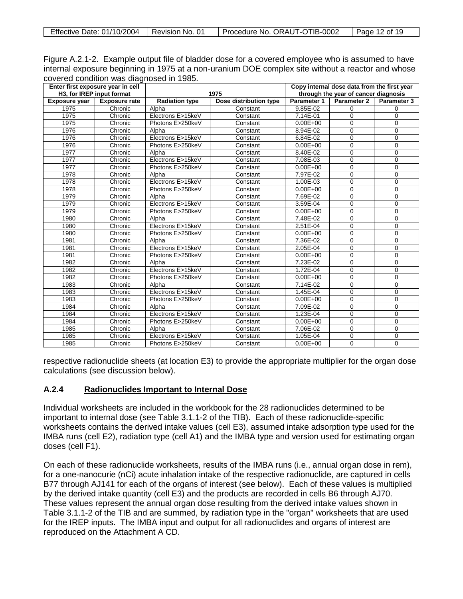| Effective Date: 01/10/2004 | Revision No. 01 | Procedure No. ORAUT-OTIB-0002 | Page 12 of 19 |
|----------------------------|-----------------|-------------------------------|---------------|
|----------------------------|-----------------|-------------------------------|---------------|

| Figure A.2.1-2. Example output file of bladder dose for a covered employee who is assumed to have |  |
|---------------------------------------------------------------------------------------------------|--|
| internal exposure beginning in 1975 at a non-uranium DOE complex site without a reactor and whose |  |
| covered condition was diagnosed in 1985.                                                          |  |

| Enter first exposure year in cell |                           |                       |                        | Copy internal dose data from the first year |             |                    |
|-----------------------------------|---------------------------|-----------------------|------------------------|---------------------------------------------|-------------|--------------------|
|                                   | H3, for IREP input format |                       | 1975                   | through the year of cancer diagnosis        |             |                    |
| <b>Exposure year</b>              | <b>Exposure rate</b>      | <b>Radiation type</b> | Dose distribution type | Parameter 1                                 | Parameter 2 | <b>Parameter 3</b> |
| 1975                              | Chronic                   | Alpha                 | Constant               | 9.85E-02                                    | 0           | 0                  |
| 1975                              | Chronic                   | Electrons E>15keV     | Constant               | 7.14E-01                                    | $\Omega$    | $\Omega$           |
| 1975                              | Chronic                   | Photons E>250keV      | Constant               | $0.00E + 00$                                | $\Omega$    | $\Omega$           |
| 1976                              | Chronic                   | Alpha                 | Constant               | 8.94E-02                                    | $\Omega$    | $\mathbf 0$        |
| 1976                              | Chronic                   | Electrons E>15keV     | Constant               | 6.84E-02                                    | $\Omega$    | $\mathbf 0$        |
| 1976                              | Chronic                   | Photons E>250keV      | Constant               | $0.00E + 00$                                | $\Omega$    | 0                  |
| 1977                              | Chronic                   | Alpha                 | Constant               | 8.40E-02                                    | $\Omega$    | 0                  |
| 1977                              | Chronic                   | Electrons E>15keV     | Constant               | 7.08E-03                                    | $\Omega$    | $\Omega$           |
| 1977                              | Chronic                   | Photons E>250keV      | Constant               | $0.00E + 00$                                | $\Omega$    | 0                  |
| 1978                              | Chronic                   | Alpha                 | Constant               | 7.97E-02                                    | $\Omega$    | $\mathbf 0$        |
| 1978                              | Chronic                   | Electrons E>15keV     | Constant               | 1.00E-03                                    | $\Omega$    | $\mathbf 0$        |
| 1978                              | Chronic                   | Photons E>250keV      | Constant               | $0.00E + 00$                                | $\Omega$    | $\mathbf 0$        |
| 1979                              | Chronic                   | Alpha                 | Constant               | 7.69E-02                                    | $\Omega$    | $\mathbf 0$        |
| 1979                              | Chronic                   | Electrons E>15keV     | Constant               | 3.59E-04                                    | $\Omega$    | $\mathbf 0$        |
| 1979                              | Chronic                   | Photons E>250keV      | Constant               | $0.00E + 00$                                | $\Omega$    | $\mathbf 0$        |
| 1980                              | Chronic                   | Alpha                 | Constant               | 7.48E-02                                    | 0           | $\mathbf 0$        |
| 1980                              | Chronic                   | Electrons E>15keV     | Constant               | 2.51E-04                                    | $\Omega$    | $\mathbf 0$        |
| 1980                              | Chronic                   | Photons E>250keV      | Constant               | $0.00E + 00$                                | $\Omega$    | $\Omega$           |
| 1981                              | Chronic                   | Alpha                 | Constant               | 7.36E-02                                    | $\Omega$    | $\mathbf 0$        |
| 1981                              | Chronic                   | Electrons E>15keV     | Constant               | 2.05E-04                                    | $\Omega$    | $\mathbf 0$        |
| 1981                              | Chronic                   | Photons E>250keV      | Constant               | $0.00E + 00$                                | $\Omega$    | $\mathbf 0$        |
| 1982                              | Chronic                   | Alpha                 | Constant               | 7.23E-02                                    | $\Omega$    | $\mathbf 0$        |
| 1982                              | Chronic                   | Electrons E>15keV     | Constant               | 1.72E-04                                    | $\mathbf 0$ | $\mathbf 0$        |
| 1982                              | Chronic                   | Photons E>250keV      | Constant               | $0.00E + 00$                                | $\Omega$    | $\mathbf 0$        |
| 1983                              | Chronic                   | Alpha                 | Constant               | 7.14E-02                                    | $\Omega$    | $\mathbf 0$        |
| 1983                              | Chronic                   | Electrons E>15keV     | Constant               | 1.45E-04                                    | $\Omega$    | $\mathbf 0$        |
| 1983                              | Chronic                   | Photons E>250keV      | Constant               | $0.00E + 00$                                | $\mathbf 0$ | $\mathbf 0$        |
| 1984                              | Chronic                   | Alpha                 | Constant               | 7.09E-02                                    | $\Omega$    | $\mathbf 0$        |
| 1984                              | Chronic                   | Electrons E>15keV     | Constant               | 1.23E-04                                    | $\Omega$    | $\mathbf 0$        |
| 1984                              | Chronic                   | Photons E>250keV      | Constant               | $0.00E + 00$                                | $\Omega$    | $\mathbf 0$        |
| 1985                              | Chronic                   | Alpha                 | Constant               | 7.06E-02                                    | 0           | $\mathbf 0$        |
| 1985                              | Chronic                   | Electrons E>15keV     | Constant               | 1.05E-04                                    | 0           | 0                  |
| 1985                              | Chronic                   | Photons E>250keV      | Constant               | $0.00E + 00$                                | 0           | $\mathbf 0$        |

respective radionuclide sheets (at location E3) to provide the appropriate multiplier for the organ dose calculations (see discussion below).

#### **A.2.4 Radionuclides Important to Internal Dose**

Individual worksheets are included in the workbook for the 28 radionuclides determined to be important to internal dose (see Table 3.1.1-2 of the TIB). Each of these radionuclide-specific worksheets contains the derived intake values (cell E3), assumed intake adsorption type used for the IMBA runs (cell E2), radiation type (cell A1) and the IMBA type and version used for estimating organ doses (cell F1).

On each of these radionuclide worksheets, results of the IMBA runs (i.e., annual organ dose in rem), for a one-nanocurie (nCi) acute inhalation intake of the respective radionuclide, are captured in cells B77 through AJ141 for each of the organs of interest (see below). Each of these values is multiplied by the derived intake quantity (cell E3) and the products are recorded in cells B6 through AJ70. These values represent the annual organ dose resulting from the derived intake values shown in Table 3.1.1-2 of the TIB and are summed, by radiation type in the "organ" worksheets that are used for the IREP inputs. The IMBA input and output for all radionuclides and organs of interest are reproduced on the Attachment A CD.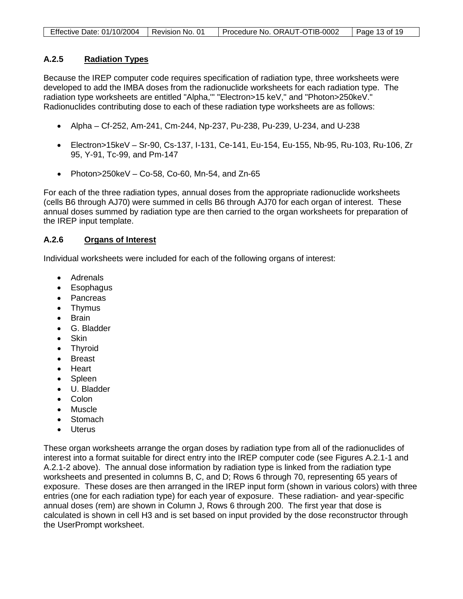| Effective Date: 01/10/2004   Revision No. 01 | Procedure No. ORAUT-OTIB-0002 | Page 13 of 19 |
|----------------------------------------------|-------------------------------|---------------|

### **A.2.5 Radiation Types**

Because the IREP computer code requires specification of radiation type, three worksheets were developed to add the IMBA doses from the radionuclide worksheets for each radiation type. The radiation type worksheets are entitled "Alpha,'" "Electron>15 keV," and "Photon>250keV." Radionuclides contributing dose to each of these radiation type worksheets are as follows:

- Alpha Cf-252, Am-241, Cm-244, Np-237, Pu-238, Pu-239, U-234, and U-238
- Electron>15keV Sr-90, Cs-137, I-131, Ce-141, Eu-154, Eu-155, Nb-95, Ru-103, Ru-106, Zr 95, Y-91, Tc-99, and Pm-147
- Photon> $250keV Co-58$ , Co-60, Mn-54, and Zn-65

For each of the three radiation types, annual doses from the appropriate radionuclide worksheets (cells B6 through AJ70) were summed in cells B6 through AJ70 for each organ of interest. These annual doses summed by radiation type are then carried to the organ worksheets for preparation of the IREP input template.

#### **A.2.6 Organs of Interest**

Individual worksheets were included for each of the following organs of interest:

- Adrenals
- Esophagus
- Pancreas
- Thymus
- Brain
- G. Bladder
- Skin
- Thyroid
- Breast
- Heart
- **Spleen**
- U. Bladder
- Colon
- Muscle
- **Stomach**
- Uterus

These organ worksheets arrange the organ doses by radiation type from all of the radionuclides of interest into a format suitable for direct entry into the IREP computer code (see Figures A.2.1-1 and A.2.1-2 above). The annual dose information by radiation type is linked from the radiation type worksheets and presented in columns B, C, and D; Rows 6 through 70, representing 65 years of exposure. These doses are then arranged in the IREP input form (shown in various colors) with three entries (one for each radiation type) for each year of exposure. These radiation- and year-specific annual doses (rem) are shown in Column J, Rows 6 through 200. The first year that dose is calculated is shown in cell H3 and is set based on input provided by the dose reconstructor through the UserPrompt worksheet.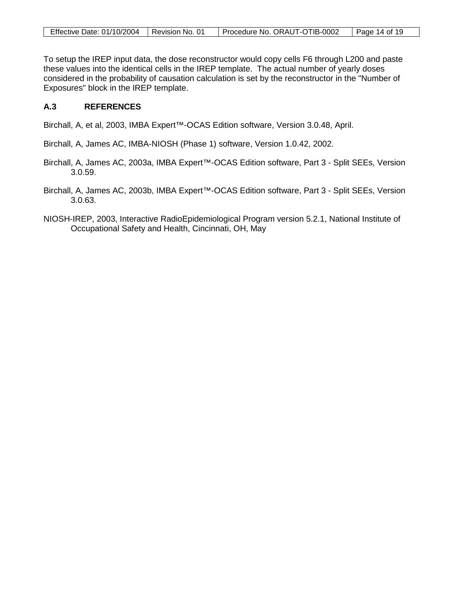| Effective Date: 01/10/2004 | I Revision No. 01 | Procedure No. ORAUT-OTIB-0002 | Page 14 of 19 |
|----------------------------|-------------------|-------------------------------|---------------|

To setup the IREP input data, the dose reconstructor would copy cells F6 through L200 and paste these values into the identical cells in the IREP template. The actual number of yearly doses considered in the probability of causation calculation is set by the reconstructor in the "Number of Exposures" block in the IREP template.

### **A.3 REFERENCES**

Birchall, A, et al, 2003, IMBA Expert™-OCAS Edition software, Version 3.0.48, April.

Birchall, A, James AC, IMBA-NIOSH (Phase 1) software, Version 1.0.42, 2002.

- Birchall, A, James AC, 2003a, IMBA Expert™-OCAS Edition software, Part 3 Split SEEs, Version 3.0.59.
- Birchall, A, James AC, 2003b, IMBA Expert™-OCAS Edition software, Part 3 Split SEEs, Version 3.0.63.
- NIOSH-IREP, 2003, Interactive RadioEpidemiological Program version 5.2.1, National Institute of Occupational Safety and Health, Cincinnati, OH, May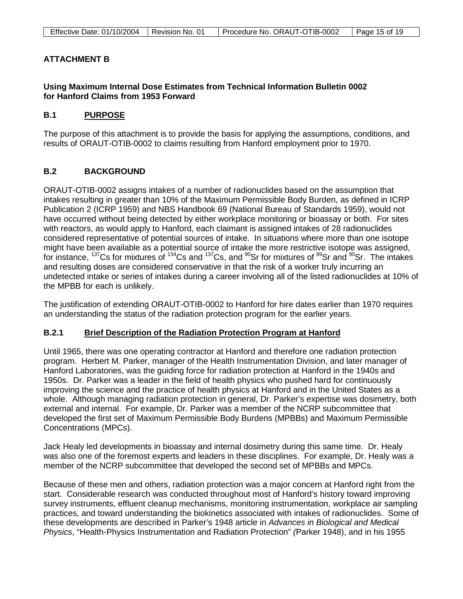| Effective Date: 01/10/2004   Revision No. 01 | Procedure No. ORAUT-OTIB-0002 | $\vert$ Page 15 of 19 |
|----------------------------------------------|-------------------------------|-----------------------|
|                                              |                               |                       |

# **ATTACHMENT B**

# **Using Maximum Internal Dose Estimates from Technical Information Bulletin 0002 for Hanford Claims from 1953 Forward**

#### **B.1 PURPOSE**

The purpose of this attachment is to provide the basis for applying the assumptions, conditions, and results of ORAUT-OTIB-0002 to claims resulting from Hanford employment prior to 1970.

# **B.2 BACKGROUND**

ORAUT-OTIB-0002 assigns intakes of a number of radionuclides based on the assumption that intakes resulting in greater than 10% of the Maximum Permissible Body Burden, as defined in ICRP Publication 2 (ICRP 1959) and NBS Handbook 69 (National Bureau of Standards 1959), would not have occurred without being detected by either workplace monitoring or bioassay or both. For sites with reactors, as would apply to Hanford, each claimant is assigned intakes of 28 radionuclides considered representative of potential sources of intake. In situations where more than one isotope might have been available as a potential source of intake the more restrictive isotope was assigned, for instance, <sup>137</sup>Cs for mixtures of <sup>134</sup>Cs and <sup>137</sup>Cs, and <sup>90</sup>Sr for mixtures of <sup>89</sup>Sr and <sup>90</sup>Sr. The intakes and resulting doses are considered conservative in that the risk of a worker truly incurring an undetected intake or series of intakes during a career involving all of the listed radionuclides at 10% of the MPBB for each is unlikely.

The justification of extending ORAUT-OTIB-0002 to Hanford for hire dates earlier than 1970 requires an understanding the status of the radiation protection program for the earlier years.

#### **B.2.1 Brief Description of the Radiation Protection Program at Hanford**

Until 1965, there was one operating contractor at Hanford and therefore one radiation protection program. Herbert M. Parker, manager of the Health Instrumentation Division, and later manager of Hanford Laboratories, was the guiding force for radiation protection at Hanford in the 1940s and 1950s. Dr. Parker was a leader in the field of health physics who pushed hard for continuously improving the science and the practice of health physics at Hanford and in the United States as a whole. Although managing radiation protection in general, Dr. Parker's expertise was dosimetry, both external and internal. For example, Dr. Parker was a member of the NCRP subcommittee that developed the first set of Maximum Permissible Body Burdens (MPBBs) and Maximum Permissible Concentrations (MPCs).

Jack Healy led developments in bioassay and internal dosimetry during this same time. Dr. Healy was also one of the foremost experts and leaders in these disciplines. For example, Dr. Healy was a member of the NCRP subcommittee that developed the second set of MPBBs and MPCs.

Because of these men and others, radiation protection was a major concern at Hanford right from the start. Considerable research was conducted throughout most of Hanford's history toward improving survey instruments, effluent cleanup mechanisms, monitoring instrumentation, workplace air sampling practices, and toward understanding the biokinetics associated with intakes of radionuclides. Some of these developments are described in Parker's 1948 article in *Advances in Biological and Medical Physics*, "Health-Physics Instrumentation and Radiation Protection" *(*Parker 1948), and in his 1955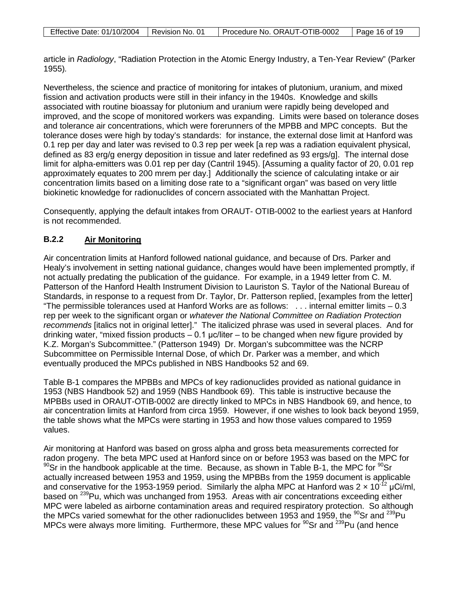article in *Radiology*, "Radiation Protection in the Atomic Energy Industry, a Ten-Year Review" (Parker 1955)*.*

Nevertheless, the science and practice of monitoring for intakes of plutonium, uranium, and mixed fission and activation products were still in their infancy in the 1940s. Knowledge and skills associated with routine bioassay for plutonium and uranium were rapidly being developed and improved, and the scope of monitored workers was expanding. Limits were based on tolerance doses and tolerance air concentrations, which were forerunners of the MPBB and MPC concepts. But the tolerance doses were high by today's standards: for instance, the external dose limit at Hanford was 0.1 rep per day and later was revised to 0.3 rep per week [a rep was a radiation equivalent physical, defined as 83 erg/g energy deposition in tissue and later redefined as 93 ergs/g]. The internal dose limit for alpha-emitters was 0.01 rep per day (Cantril 1945). [Assuming a quality factor of 20, 0.01 rep approximately equates to 200 mrem per day.] Additionally the science of calculating intake or air concentration limits based on a limiting dose rate to a "significant organ" was based on very little biokinetic knowledge for radionuclides of concern associated with the Manhattan Project.

Consequently, applying the default intakes from ORAUT- OTIB-0002 to the earliest years at Hanford is not recommended.

### **B.2.2 Air Monitoring**

Air concentration limits at Hanford followed national guidance, and because of Drs. Parker and Healy's involvement in setting national guidance, changes would have been implemented promptly, if not actually predating the publication of the guidance. For example, in a 1949 letter from C. M. Patterson of the Hanford Health Instrument Division to Lauriston S. Taylor of the National Bureau of Standards, in response to a request from Dr. Taylor, Dr. Patterson replied, [examples from the letter] "The permissible tolerances used at Hanford Works are as follows: . . . internal emitter limits – 0.3 rep per week to the significant organ or *whatever the National Committee on Radiation Protection recommends* [italics not in original letter]." The italicized phrase was used in several places. And for drinking water, "mixed fission products  $-0.1$  µc/liter – to be changed when new figure provided by K.Z. Morgan's Subcommittee." (Patterson 1949) Dr. Morgan's subcommittee was the NCRP Subcommittee on Permissible Internal Dose, of which Dr. Parker was a member, and which eventually produced the MPCs published in NBS Handbooks 52 and 69.

Table B-1 compares the MPBBs and MPCs of key radionuclides provided as national guidance in 1953 (NBS Handbook 52) and 1959 (NBS Handbook 69). This table is instructive because the MPBBs used in ORAUT-OTIB-0002 are directly linked to MPCs in NBS Handbook 69, and hence, to air concentration limits at Hanford from circa 1959. However, if one wishes to look back beyond 1959, the table shows what the MPCs were starting in 1953 and how those values compared to 1959 values.

Air monitoring at Hanford was based on gross alpha and gross beta measurements corrected for radon progeny. The beta MPC used at Hanford since on or before 1953 was based on the MPC for  $90$ Sr in the handbook applicable at the time. Because, as shown in Table B-1, the MPC for  $90$ Sr actually increased between 1953 and 1959, using the MPBBs from the 1959 document is applicable and conservative for the 1953-1959 period. Similarly the alpha MPC at Hanford was  $2 \times 10^{-12}$  µCi/ml, based on <sup>239</sup>Pu, which was unchanged from 1953. Areas with air concentrations exceeding either MPC were labeled as airborne contamination areas and required respiratory protection. So although the MPCs varied somewhat for the other radionuclides between 1953 and 1959, the  $^{90}$ Sr and  $^{239}$ Pu MPCs were always more limiting. Furthermore, these MPC values for  $90$ Sr and  $^{239}$ Pu (and hence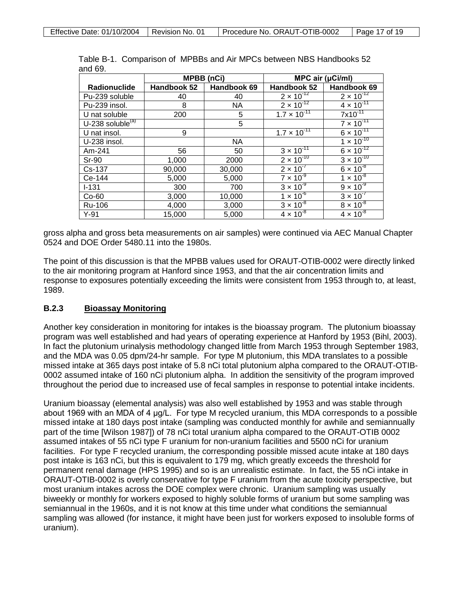|                     | <b>MPBB</b> (nCi) |             | MPC air (µCi/ml)      |                     |
|---------------------|-------------------|-------------|-----------------------|---------------------|
| Radionuclide        | Handbook 52       | Handbook 69 | Handbook 52           | Handbook 69         |
| Pu-239 soluble      | 40                | 40          | $2 \times 10^{-12}$   | $2 \times 10^{-12}$ |
| Pu-239 insol.       | 8                 | <b>NA</b>   | $2 \times 10^{-12}$   | $4 \times 10^{-11}$ |
| U nat soluble       | 200               | 5           | $1.7 \times 10^{-11}$ | $7x10^{-11}$        |
| U-238 soluble $(a)$ |                   | 5           |                       | $7 \times 10^{-11}$ |
| U nat insol.        | 9                 |             | $1.7 \times 10^{-11}$ | $6 \times 10^{-11}$ |
| U-238 insol.        |                   | <b>NA</b>   |                       | $1 \times 10^{-10}$ |
| Am-241              | 56                | 50          | $3 \times 10^{-11}$   | $6 \times 10^{-12}$ |
| <b>Sr-90</b>        | 1,000             | 2000        | $2 \times 10^{-10}$   | $3 \times 10^{-10}$ |
| Cs-137              | 90,000            | 30,000      | $2 \times 10^{-7}$    | $6 \times 10^{-8}$  |
| Ce-144              | 5,000             | 5,000       | $7 \times 10^{-9}$    | $1 \times 10^{-8}$  |
| $I - 131$           | 300               | 700         | $3 \times 10^{-9}$    | $9 \times 10^{-9}$  |
| $Co-60$             | 3,000             | 10,000      | $1 \times 10^{-6}$    | $3 \times 10^{-7}$  |
| Ru-106              | 4,000             | 3,000       | $3 \times 10^{-8}$    | $8 \times 10^{-8}$  |
| $Y-91$              | 15,000            | 5,000       | $4 \times 10^{-8}$    | $4 \times 10^{-8}$  |

Table B-1. Comparison of MPBBs and Air MPCs between NBS Handbooks 52 and 69.

gross alpha and gross beta measurements on air samples) were continued via AEC Manual Chapter 0524 and DOE Order 5480.11 into the 1980s.

The point of this discussion is that the MPBB values used for ORAUT-OTIB-0002 were directly linked to the air monitoring program at Hanford since 1953, and that the air concentration limits and response to exposures potentially exceeding the limits were consistent from 1953 through to, at least, 1989.

### **B.2.3 Bioassay Monitoring**

Another key consideration in monitoring for intakes is the bioassay program. The plutonium bioassay program was well established and had years of operating experience at Hanford by 1953 (Bihl, 2003). In fact the plutonium urinalysis methodology changed little from March 1953 through September 1983, and the MDA was 0.05 dpm/24-hr sample. For type M plutonium, this MDA translates to a possible missed intake at 365 days post intake of 5.8 nCi total plutonium alpha compared to the ORAUT-OTIB-0002 assumed intake of 160 nCi plutonium alpha. In addition the sensitivity of the program improved throughout the period due to increased use of fecal samples in response to potential intake incidents.

Uranium bioassay (elemental analysis) was also well established by 1953 and was stable through about 1969 with an MDA of 4 μg/L. For type M recycled uranium, this MDA corresponds to a possible missed intake at 180 days post intake (sampling was conducted monthly for awhile and semiannually part of the time [Wilson 1987]) of 78 nCi total uranium alpha compared to the ORAUT-OTIB 0002 assumed intakes of 55 nCi type F uranium for non-uranium facilities and 5500 nCi for uranium facilities. For type F recycled uranium, the corresponding possible missed acute intake at 180 days post intake is 163 nCi, but this is equivalent to 179 mg, which greatly exceeds the threshold for permanent renal damage (HPS 1995) and so is an unrealistic estimate. In fact, the 55 nCi intake in ORAUT-OTIB-0002 is overly conservative for type F uranium from the acute toxicity perspective, but most uranium intakes across the DOE complex were chronic. Uranium sampling was usually biweekly or monthly for workers exposed to highly soluble forms of uranium but some sampling was semiannual in the 1960s, and it is not know at this time under what conditions the semiannual sampling was allowed (for instance, it might have been just for workers exposed to insoluble forms of uranium).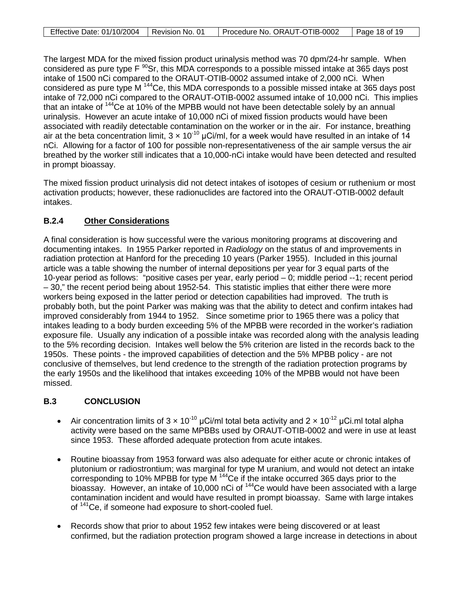| Effective Date: 01/10/2004 | I Revision No. 01 | Procedure No. ORAUT-OTIB-0002 | Page 18 of 19 |
|----------------------------|-------------------|-------------------------------|---------------|

The largest MDA for the mixed fission product urinalysis method was 70 dpm/24-hr sample. When considered as pure type  $F^{90}$ Sr, this MDA corresponds to a possible missed intake at 365 days post intake of 1500 nCi compared to the ORAUT-OTIB-0002 assumed intake of 2,000 nCi. When considered as pure type M 144Ce, this MDA corresponds to a possible missed intake at 365 days post intake of 72,000 nCi compared to the ORAUT-OTIB-0002 assumed intake of 10,000 nCi. This implies that an intake of <sup>144</sup>Ce at 10% of the MPBB would not have been detectable solely by an annual urinalysis. However an acute intake of 10,000 nCi of mixed fission products would have been associated with readily detectable contamination on the worker or in the air. For instance, breathing air at the beta concentration limit,  $3 \times 10^{-10}$  µCi/ml, for a week would have resulted in an intake of 14 nCi. Allowing for a factor of 100 for possible non-representativeness of the air sample versus the air breathed by the worker still indicates that a 10,000-nCi intake would have been detected and resulted in prompt bioassay.

The mixed fission product urinalysis did not detect intakes of isotopes of cesium or ruthenium or most activation products; however, these radionuclides are factored into the ORAUT-OTIB-0002 default intakes.

### **B.2.4 Other Considerations**

A final consideration is how successful were the various monitoring programs at discovering and documenting intakes. In 1955 Parker reported in *Radiology* on the status of and improvements in radiation protection at Hanford for the preceding 10 years (Parker 1955). Included in this journal article was a table showing the number of internal depositions per year for 3 equal parts of the 10-year period as follows: "positive cases per year, early period – 0; middle period --1; recent period – 30," the recent period being about 1952-54. This statistic implies that either there were more workers being exposed in the latter period or detection capabilities had improved. The truth is probably both, but the point Parker was making was that the ability to detect and confirm intakes had improved considerably from 1944 to 1952. Since sometime prior to 1965 there was a policy that intakes leading to a body burden exceeding 5% of the MPBB were recorded in the worker's radiation exposure file. Usually any indication of a possible intake was recorded along with the analysis leading to the 5% recording decision. Intakes well below the 5% criterion are listed in the records back to the 1950s. These points - the improved capabilities of detection and the 5% MPBB policy - are not conclusive of themselves, but lend credence to the strength of the radiation protection programs by the early 1950s and the likelihood that intakes exceeding 10% of the MPBB would not have been missed.

# **B.3 CONCLUSION**

- Air concentration limits of  $3 \times 10^{-10}$  µCi/ml total beta activity and  $2 \times 10^{-12}$  µCi.ml total alpha activity were based on the same MPBBs used by ORAUT-OTIB-0002 and were in use at least since 1953. These afforded adequate protection from acute intakes.
- Routine bioassay from 1953 forward was also adequate for either acute or chronic intakes of plutonium or radiostrontium; was marginal for type M uranium, and would not detect an intake corresponding to 10% MPBB for type M<sup>144</sup>Ce if the intake occurred 365 days prior to the bioassay. However, an intake of 10,000 nCi of <sup>144</sup>Ce would have been associated with a large contamination incident and would have resulted in prompt bioassay. Same with large intakes of <sup>141</sup>Ce, if someone had exposure to short-cooled fuel.
- Records show that prior to about 1952 few intakes were being discovered or at least confirmed, but the radiation protection program showed a large increase in detections in about